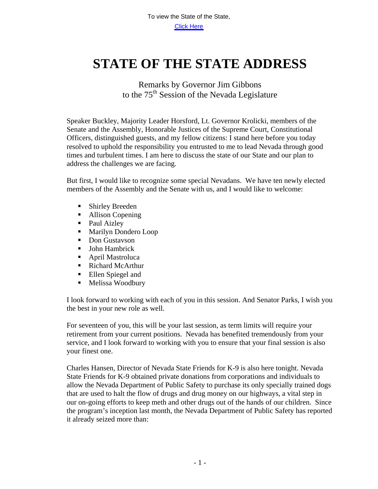## **STATE OF THE STATE ADDRESS**

Remarks by Governor Jim Gibbons to the 75<sup>th</sup> Session of the Nevada Legislature

Speaker Buckley, Majority Leader Horsford, Lt. Governor Krolicki, members of the Senate and the Assembly, Honorable Justices of the Supreme Court, Constitutional Officers, distinguished guests, and my fellow citizens: I stand here before you today resolved to uphold the responsibility you entrusted to me to lead Nevada through good times and turbulent times. I am here to discuss the state of our State and our plan to address the challenges we are facing.

But first, I would like to recognize some special Nevadans. We have ten newly elected members of the Assembly and the Senate with us, and I would like to welcome:

- Shirley Breeden
- Allison Copening
- Paul Aizley
- Marilyn Dondero Loop
- Don Gustavson
- **John Hambrick**
- April Mastroluca
- Richard McArthur
- **Ellen Spiegel and**
- Melissa Woodbury

I look forward to working with each of you in this session. And Senator Parks, I wish you the best in your new role as well.

For seventeen of you, this will be your last session, as term limits will require your retirement from your current positions. Nevada has benefited tremendously from your service, and I look forward to working with you to ensure that your final session is also your finest one.

Charles Hansen, Director of Nevada State Friends for K-9 is also here tonight. Nevada State Friends for K-9 obtained private donations from corporations and individuals to allow the Nevada Department of Public Safety to purchase its only specially trained dogs that are used to halt the flow of drugs and drug money on our highways, a vital step in our on-going efforts to keep meth and other drugs out of the hands of our children. Since the program's inception last month, the Nevada Department of Public Safety has reported it already seized more than: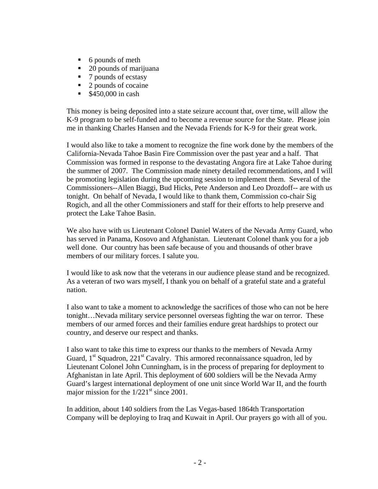- $\blacksquare$  6 pounds of meth
- 20 pounds of marijuana
- 7 pounds of ecstasy
- 2 pounds of cocaine
- $$450,000$  in cash

This money is being deposited into a state seizure account that, over time, will allow the K-9 program to be self-funded and to become a revenue source for the State. Please join me in thanking Charles Hansen and the Nevada Friends for K-9 for their great work.

I would also like to take a moment to recognize the fine work done by the members of the California-Nevada Tahoe Basin Fire Commission over the past year and a half. That Commission was formed in response to the devastating Angora fire at Lake Tahoe during the summer of 2007. The Commission made ninety detailed recommendations, and I will be promoting legislation during the upcoming session to implement them. Several of the Commissioners--Allen Biaggi, Bud Hicks, Pete Anderson and Leo Drozdoff-- are with us tonight. On behalf of Nevada, I would like to thank them, Commission co-chair Sig Rogich, and all the other Commissioners and staff for their efforts to help preserve and protect the Lake Tahoe Basin.

We also have with us Lieutenant Colonel Daniel Waters of the Nevada Army Guard, who has served in Panama, Kosovo and Afghanistan. Lieutenant Colonel thank you for a job well done. Our country has been safe because of you and thousands of other brave members of our military forces. I salute you.

I would like to ask now that the veterans in our audience please stand and be recognized. As a veteran of two wars myself, I thank you on behalf of a grateful state and a grateful nation.

I also want to take a moment to acknowledge the sacrifices of those who can not be here tonight…Nevada military service personnel overseas fighting the war on terror. These members of our armed forces and their families endure great hardships to protect our country, and deserve our respect and thanks.

I also want to take this time to express our thanks to the members of Nevada Army Guard,  $1<sup>st</sup>$  Squadron, 221<sup>st</sup> Cavalry. This armored reconnaissance squadron, led by Lieutenant Colonel John Cunningham, is in the process of preparing for deployment to Afghanistan in late April. This deployment of 600 soldiers will be the Nevada Army Guard's largest international deployment of one unit since World War II, and the fourth major mission for the  $1/221<sup>st</sup>$  since 2001.

In addition, about 140 soldiers from the Las Vegas-based 1864th Transportation Company will be deploying to Iraq and Kuwait in April. Our prayers go with all of you.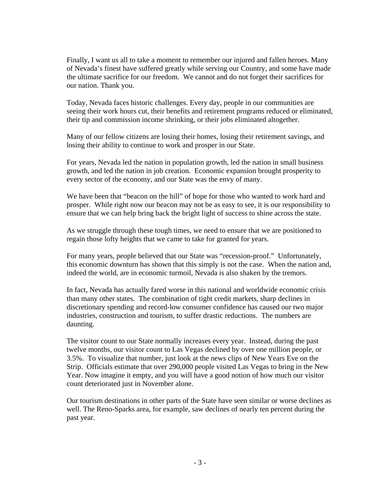Finally, I want us all to take a moment to remember our injured and fallen heroes. Many of Nevada's finest have suffered greatly while serving our Country, and some have made the ultimate sacrifice for our freedom. We cannot and do not forget their sacrifices for our nation. Thank you.

Today, Nevada faces historic challenges. Every day, people in our communities are seeing their work hours cut, their benefits and retirement programs reduced or eliminated, their tip and commission income shrinking, or their jobs eliminated altogether.

Many of our fellow citizens are losing their homes, losing their retirement savings, and losing their ability to continue to work and prosper in our State.

For years, Nevada led the nation in population growth, led the nation in small business growth, and led the nation in job creation. Economic expansion brought prosperity to every sector of the economy, and our State was the envy of many.

We have been that "beacon on the hill" of hope for those who wanted to work hard and prosper. While right now our beacon may not be as easy to see, it is our responsibility to ensure that we can help bring back the bright light of success to shine across the state.

As we struggle through these tough times, we need to ensure that we are positioned to regain those lofty heights that we came to take for granted for years.

For many years, people believed that our State was "recession-proof." Unfortunately, this economic downturn has shown that this simply is not the case. When the nation and, indeed the world, are in economic turmoil, Nevada is also shaken by the tremors.

In fact, Nevada has actually fared worse in this national and worldwide economic crisis than many other states. The combination of tight credit markets, sharp declines in discretionary spending and record-low consumer confidence has caused our two major industries, construction and tourism, to suffer drastic reductions. The numbers are daunting.

The visitor count to our State normally increases every year. Instead, during the past twelve months, our visitor count to Las Vegas declined by over one million people, or 3.5%. To visualize that number, just look at the news clips of New Years Eve on the Strip. Officials estimate that over 290,000 people visited Las Vegas to bring in the New Year. Now imagine it empty, and you will have a good notion of how much our visitor count deteriorated just in November alone.

Our tourism destinations in other parts of the State have seen similar or worse declines as well. The Reno-Sparks area, for example, saw declines of nearly ten percent during the past year.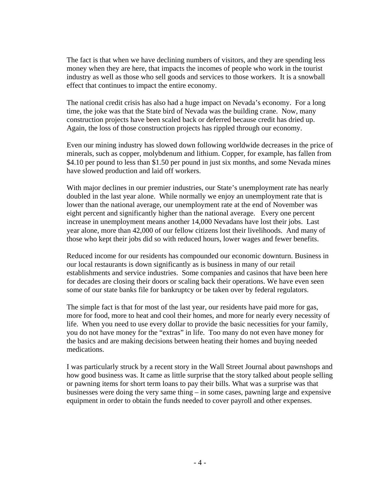The fact is that when we have declining numbers of visitors, and they are spending less money when they are here, that impacts the incomes of people who work in the tourist industry as well as those who sell goods and services to those workers. It is a snowball effect that continues to impact the entire economy.

The national credit crisis has also had a huge impact on Nevada's economy. For a long time, the joke was that the State bird of Nevada was the building crane. Now, many construction projects have been scaled back or deferred because credit has dried up. Again, the loss of those construction projects has rippled through our economy.

Even our mining industry has slowed down following worldwide decreases in the price of minerals, such as copper, molybdenum and lithium. Copper, for example, has fallen from \$4.10 per pound to less than \$1.50 per pound in just six months, and some Nevada mines have slowed production and laid off workers.

With major declines in our premier industries, our State's unemployment rate has nearly doubled in the last year alone. While normally we enjoy an unemployment rate that is lower than the national average, our unemployment rate at the end of November was eight percent and significantly higher than the national average. Every one percent increase in unemployment means another 14,000 Nevadans have lost their jobs. Last year alone, more than 42,000 of our fellow citizens lost their livelihoods. And many of those who kept their jobs did so with reduced hours, lower wages and fewer benefits.

Reduced income for our residents has compounded our economic downturn. Business in our local restaurants is down significantly as is business in many of our retail establishments and service industries. Some companies and casinos that have been here for decades are closing their doors or scaling back their operations. We have even seen some of our state banks file for bankruptcy or be taken over by federal regulators.

The simple fact is that for most of the last year, our residents have paid more for gas, more for food, more to heat and cool their homes, and more for nearly every necessity of life. When you need to use every dollar to provide the basic necessities for your family, you do not have money for the "extras" in life. Too many do not even have money for the basics and are making decisions between heating their homes and buying needed medications.

I was particularly struck by a recent story in the Wall Street Journal about pawnshops and how good business was. It came as little surprise that the story talked about people selling or pawning items for short term loans to pay their bills. What was a surprise was that businesses were doing the very same thing – in some cases, pawning large and expensive equipment in order to obtain the funds needed to cover payroll and other expenses.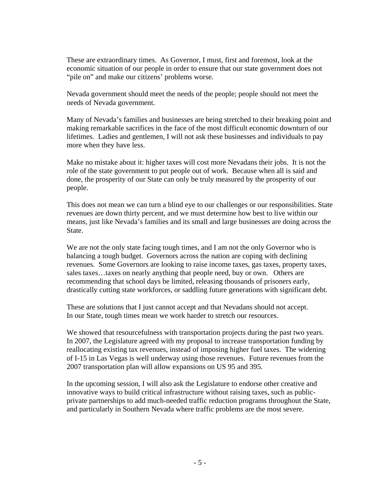These are extraordinary times. As Governor, I must, first and foremost, look at the economic situation of our people in order to ensure that our state government does not "pile on" and make our citizens' problems worse.

Nevada government should meet the needs of the people; people should not meet the needs of Nevada government.

Many of Nevada's families and businesses are being stretched to their breaking point and making remarkable sacrifices in the face of the most difficult economic downturn of our lifetimes. Ladies and gentlemen, I will not ask these businesses and individuals to pay more when they have less.

Make no mistake about it: higher taxes will cost more Nevadans their jobs. It is not the role of the state government to put people out of work. Because when all is said and done, the prosperity of our State can only be truly measured by the prosperity of our people.

This does not mean we can turn a blind eye to our challenges or our responsibilities. State revenues are down thirty percent, and we must determine how best to live within our means, just like Nevada's families and its small and large businesses are doing across the State.

We are not the only state facing tough times, and I am not the only Governor who is balancing a tough budget. Governors across the nation are coping with declining revenues. Some Governors are looking to raise income taxes, gas taxes, property taxes, sales taxes…taxes on nearly anything that people need, buy or own. Others are recommending that school days be limited, releasing thousands of prisoners early, drastically cutting state workforces, or saddling future generations with significant debt.

These are solutions that I just cannot accept and that Nevadans should not accept. In our State, tough times mean we work harder to stretch our resources.

We showed that resourcefulness with transportation projects during the past two years. In 2007, the Legislature agreed with my proposal to increase transportation funding by reallocating existing tax revenues, instead of imposing higher fuel taxes. The widening of I-15 in Las Vegas is well underway using those revenues. Future revenues from the 2007 transportation plan will allow expansions on US 95 and 395.

In the upcoming session, I will also ask the Legislature to endorse other creative and innovative ways to build critical infrastructure without raising taxes, such as publicprivate partnerships to add much-needed traffic reduction programs throughout the State, and particularly in Southern Nevada where traffic problems are the most severe.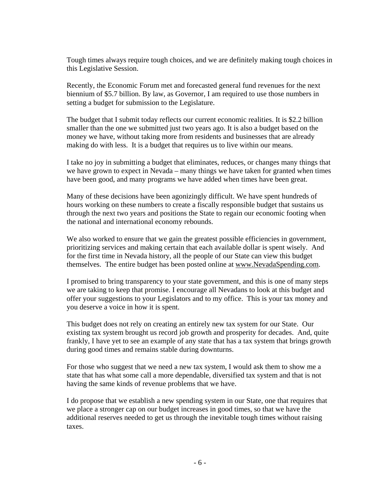Tough times always require tough choices, and we are definitely making tough choices in this Legislative Session.

Recently, the Economic Forum met and forecasted general fund revenues for the next biennium of \$5.7 billion. By law, as Governor, I am required to use those numbers in setting a budget for submission to the Legislature.

The budget that I submit today reflects our current economic realities. It is \$2.2 billion smaller than the one we submitted just two years ago. It is also a budget based on the money we have, without taking more from residents and businesses that are already making do with less. It is a budget that requires us to live within our means.

I take no joy in submitting a budget that eliminates, reduces, or changes many things that we have grown to expect in Nevada – many things we have taken for granted when times have been good, and many programs we have added when times have been great.

Many of these decisions have been agonizingly difficult. We have spent hundreds of hours working on these numbers to create a fiscally responsible budget that sustains us through the next two years and positions the State to regain our economic footing when the national and international economy rebounds.

We also worked to ensure that we gain the greatest possible efficiencies in government, prioritizing services and making certain that each available dollar is spent wisely. And for the first time in Nevada history, all the people of our State can view this budget themselves. The entire budget has been posted online at [www.NevadaSpending.com](http://www.nevadaspending.com/).

I promised to bring transparency to your state government, and this is one of many steps we are taking to keep that promise. I encourage all Nevadans to look at this budget and offer your suggestions to your Legislators and to my office. This is your tax money and you deserve a voice in how it is spent.

This budget does not rely on creating an entirely new tax system for our State. Our existing tax system brought us record job growth and prosperity for decades. And, quite frankly, I have yet to see an example of any state that has a tax system that brings growth during good times and remains stable during downturns.

For those who suggest that we need a new tax system, I would ask them to show me a state that has what some call a more dependable, diversified tax system and that is not having the same kinds of revenue problems that we have.

I do propose that we establish a new spending system in our State, one that requires that we place a stronger cap on our budget increases in good times, so that we have the additional reserves needed to get us through the inevitable tough times without raising taxes.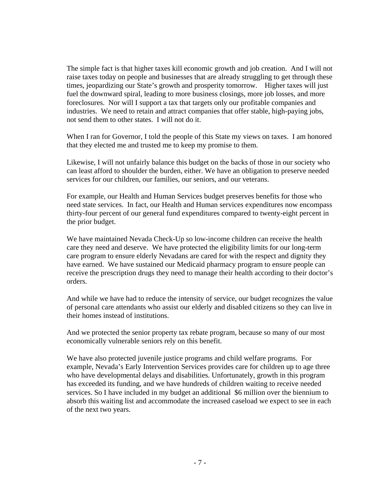The simple fact is that higher taxes kill economic growth and job creation. And I will not raise taxes today on people and businesses that are already struggling to get through these times, jeopardizing our State's growth and prosperity tomorrow. Higher taxes will just fuel the downward spiral, leading to more business closings, more job losses, and more foreclosures. Nor will I support a tax that targets only our profitable companies and industries. We need to retain and attract companies that offer stable, high-paying jobs, not send them to other states. I will not do it.

When I ran for Governor, I told the people of this State my views on taxes. I am honored that they elected me and trusted me to keep my promise to them.

Likewise, I will not unfairly balance this budget on the backs of those in our society who can least afford to shoulder the burden, either. We have an obligation to preserve needed services for our children, our families, our seniors, and our veterans.

For example, our Health and Human Services budget preserves benefits for those who need state services. In fact, our Health and Human services expenditures now encompass thirty-four percent of our general fund expenditures compared to twenty-eight percent in the prior budget.

We have maintained Nevada Check-Up so low-income children can receive the health care they need and deserve. We have protected the eligibility limits for our long-term care program to ensure elderly Nevadans are cared for with the respect and dignity they have earned. We have sustained our Medicaid pharmacy program to ensure people can receive the prescription drugs they need to manage their health according to their doctor's orders.

And while we have had to reduce the intensity of service, our budget recognizes the value of personal care attendants who assist our elderly and disabled citizens so they can live in their homes instead of institutions.

And we protected the senior property tax rebate program, because so many of our most economically vulnerable seniors rely on this benefit.

We have also protected juvenile justice programs and child welfare programs. For example, Nevada's Early Intervention Services provides care for children up to age three who have developmental delays and disabilities. Unfortunately, growth in this program has exceeded its funding, and we have hundreds of children waiting to receive needed services. So I have included in my budget an additional \$6 million over the biennium to absorb this waiting list and accommodate the increased caseload we expect to see in each of the next two years.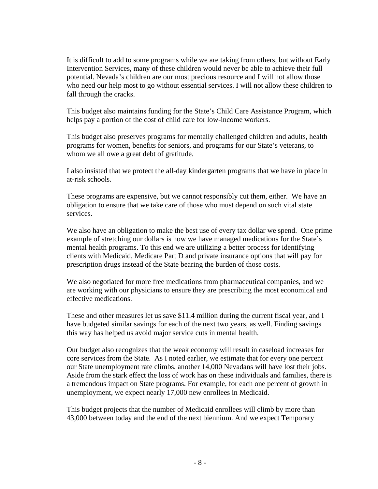It is difficult to add to some programs while we are taking from others, but without Early Intervention Services, many of these children would never be able to achieve their full potential. Nevada's children are our most precious resource and I will not allow those who need our help most to go without essential services. I will not allow these children to fall through the cracks.

This budget also maintains funding for the State's Child Care Assistance Program, which helps pay a portion of the cost of child care for low-income workers.

This budget also preserves programs for mentally challenged children and adults, health programs for women, benefits for seniors, and programs for our State's veterans, to whom we all owe a great debt of gratitude.

I also insisted that we protect the all-day kindergarten programs that we have in place in at-risk schools.

These programs are expensive, but we cannot responsibly cut them, either. We have an obligation to ensure that we take care of those who must depend on such vital state services.

We also have an obligation to make the best use of every tax dollar we spend. One prime example of stretching our dollars is how we have managed medications for the State's mental health programs. To this end we are utilizing a better process for identifying clients with Medicaid, Medicare Part D and private insurance options that will pay for prescription drugs instead of the State bearing the burden of those costs.

We also negotiated for more free medications from pharmaceutical companies, and we are working with our physicians to ensure they are prescribing the most economical and effective medications.

These and other measures let us save \$11.4 million during the current fiscal year, and I have budgeted similar savings for each of the next two years, as well. Finding savings this way has helped us avoid major service cuts in mental health.

Our budget also recognizes that the weak economy will result in caseload increases for core services from the State. As I noted earlier, we estimate that for every one percent our State unemployment rate climbs, another 14,000 Nevadans will have lost their jobs. Aside from the stark effect the loss of work has on these individuals and families, there is a tremendous impact on State programs. For example, for each one percent of growth in unemployment, we expect nearly 17,000 new enrollees in Medicaid.

This budget projects that the number of Medicaid enrollees will climb by more than 43,000 between today and the end of the next biennium. And we expect Temporary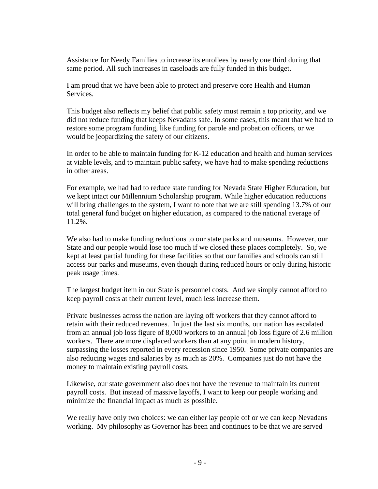Assistance for Needy Families to increase its enrollees by nearly one third during that same period. All such increases in caseloads are fully funded in this budget.

I am proud that we have been able to protect and preserve core Health and Human Services.

This budget also reflects my belief that public safety must remain a top priority, and we did not reduce funding that keeps Nevadans safe. In some cases, this meant that we had to restore some program funding, like funding for parole and probation officers, or we would be jeopardizing the safety of our citizens.

In order to be able to maintain funding for K-12 education and health and human services at viable levels, and to maintain public safety, we have had to make spending reductions in other areas.

For example, we had had to reduce state funding for Nevada State Higher Education, but we kept intact our Millennium Scholarship program. While higher education reductions will bring challenges to the system, I want to note that we are still spending 13.7% of our total general fund budget on higher education, as compared to the national average of 11.2%.

We also had to make funding reductions to our state parks and museums. However, our State and our people would lose too much if we closed these places completely. So, we kept at least partial funding for these facilities so that our families and schools can still access our parks and museums, even though during reduced hours or only during historic peak usage times.

The largest budget item in our State is personnel costs. And we simply cannot afford to keep payroll costs at their current level, much less increase them.

Private businesses across the nation are laying off workers that they cannot afford to retain with their reduced revenues. In just the last six months, our nation has escalated from an annual job loss figure of 8,000 workers to an annual job loss figure of 2.6 million workers. There are more displaced workers than at any point in modern history, surpassing the losses reported in every recession since 1950. Some private companies are also reducing wages and salaries by as much as 20%. Companies just do not have the money to maintain existing payroll costs.

Likewise, our state government also does not have the revenue to maintain its current payroll costs. But instead of massive layoffs, I want to keep our people working and minimize the financial impact as much as possible.

We really have only two choices: we can either lay people off or we can keep Nevadans working. My philosophy as Governor has been and continues to be that we are served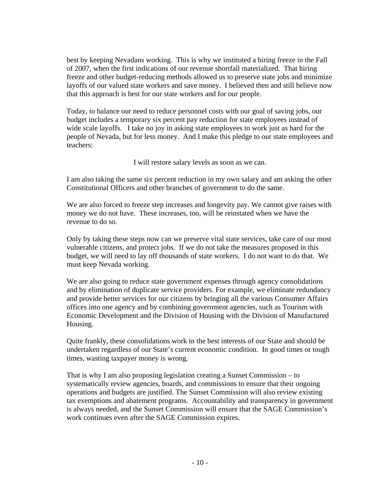best by keeping Nevadans working. This is why we instituted a hiring freeze in the Fall of 2007, when the first indications of our revenue shortfall materialized. That hiring freeze and other budget-reducing methods allowed us to preserve state jobs and minimize layoffs of our valued state workers and save money. I believed then and still believe now that this approach is best for our state workers and for our people.

Today, to balance our need to reduce personnel costs with our goal of saving jobs, our budget includes a temporary six percent pay reduction for state employees instead of wide scale layoffs. I take no joy in asking state employees to work just as hard for the people of Nevada, but for less money. And I make this pledge to our state employees and teachers:

I will restore salary levels as soon as we can.

I am also taking the same six percent reduction in my own salary and am asking the other Constitutional Officers and other branches of government to do the same.

We are also forced to freeze step increases and longevity pay. We cannot give raises with money we do not have. These increases, too, will be reinstated when we have the revenue to do so.

Only by taking these steps now can we preserve vital state services, take care of our most vulnerable citizens, and protect jobs. If we do not take the measures proposed in this budget, we will need to lay off thousands of state workers. I do not want to do that. We must keep Nevada working.

We are also going to reduce state government expenses through agency consolidations and by elimination of duplicate service providers. For example, we eliminate redundancy and provide better services for our citizens by bringing all the various Consumer Affairs offices into one agency and by combining government agencies, such as Tourism with Economic Development and the Division of Housing with the Division of Manufactured Housing.

Quite frankly, these consolidations work in the best interests of our State and should be undertaken regardless of our State's current economic condition. In good times or tough times, wasting taxpayer money is wrong.

That is why I am also proposing legislation creating a Sunset Commission – to systematically review agencies, boards, and commissions to ensure that their ongoing operations and budgets are justified. The Sunset Commission will also review existing tax exemptions and abatement programs. Accountability and transparency in government is always needed, and the Sunset Commission will ensure that the SAGE Commission's work continues even after the SAGE Commission expires.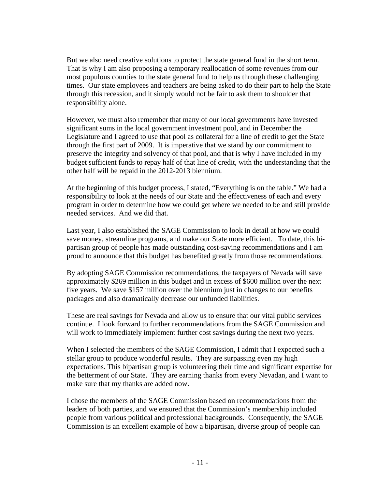But we also need creative solutions to protect the state general fund in the short term. That is why I am also proposing a temporary reallocation of some revenues from our most populous counties to the state general fund to help us through these challenging times. Our state employees and teachers are being asked to do their part to help the State through this recession, and it simply would not be fair to ask them to shoulder that responsibility alone.

However, we must also remember that many of our local governments have invested significant sums in the local government investment pool, and in December the Legislature and I agreed to use that pool as collateral for a line of credit to get the State through the first part of 2009. It is imperative that we stand by our commitment to preserve the integrity and solvency of that pool, and that is why I have included in my budget sufficient funds to repay half of that line of credit, with the understanding that the other half will be repaid in the 2012-2013 biennium.

At the beginning of this budget process, I stated, "Everything is on the table." We had a responsibility to look at the needs of our State and the effectiveness of each and every program in order to determine how we could get where we needed to be and still provide needed services. And we did that.

Last year, I also established the SAGE Commission to look in detail at how we could save money, streamline programs, and make our State more efficient. To date, this bipartisan group of people has made outstanding cost-saving recommendations and I am proud to announce that this budget has benefited greatly from those recommendations.

By adopting SAGE Commission recommendations, the taxpayers of Nevada will save approximately \$269 million in this budget and in excess of \$600 million over the next five years. We save \$157 million over the biennium just in changes to our benefits packages and also dramatically decrease our unfunded liabilities.

These are real savings for Nevada and allow us to ensure that our vital public services continue. I look forward to further recommendations from the SAGE Commission and will work to immediately implement further cost savings during the next two years.

When I selected the members of the SAGE Commission, I admit that I expected such a stellar group to produce wonderful results. They are surpassing even my high expectations. This bipartisan group is volunteering their time and significant expertise for the betterment of our State. They are earning thanks from every Nevadan, and I want to make sure that my thanks are added now.

I chose the members of the SAGE Commission based on recommendations from the leaders of both parties, and we ensured that the Commission's membership included people from various political and professional backgrounds. Consequently, the SAGE Commission is an excellent example of how a bipartisan, diverse group of people can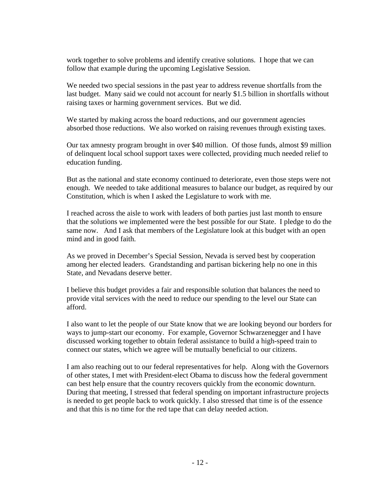work together to solve problems and identify creative solutions. I hope that we can follow that example during the upcoming Legislative Session.

We needed two special sessions in the past year to address revenue shortfalls from the last budget. Many said we could not account for nearly \$1.5 billion in shortfalls without raising taxes or harming government services. But we did.

We started by making across the board reductions, and our government agencies absorbed those reductions. We also worked on raising revenues through existing taxes.

Our tax amnesty program brought in over \$40 million. Of those funds, almost \$9 million of delinquent local school support taxes were collected, providing much needed relief to education funding.

But as the national and state economy continued to deteriorate, even those steps were not enough. We needed to take additional measures to balance our budget, as required by our Constitution, which is when I asked the Legislature to work with me.

I reached across the aisle to work with leaders of both parties just last month to ensure that the solutions we implemented were the best possible for our State. I pledge to do the same now. And I ask that members of the Legislature look at this budget with an open mind and in good faith.

As we proved in December's Special Session, Nevada is served best by cooperation among her elected leaders. Grandstanding and partisan bickering help no one in this State, and Nevadans deserve better.

I believe this budget provides a fair and responsible solution that balances the need to provide vital services with the need to reduce our spending to the level our State can afford.

I also want to let the people of our State know that we are looking beyond our borders for ways to jump-start our economy. For example, Governor Schwarzenegger and I have discussed working together to obtain federal assistance to build a high-speed train to connect our states, which we agree will be mutually beneficial to our citizens.

I am also reaching out to our federal representatives for help. Along with the Governors of other states, I met with President-elect Obama to discuss how the federal government can best help ensure that the country recovers quickly from the economic downturn. During that meeting, I stressed that federal spending on important infrastructure projects is needed to get people back to work quickly. I also stressed that time is of the essence and that this is no time for the red tape that can delay needed action.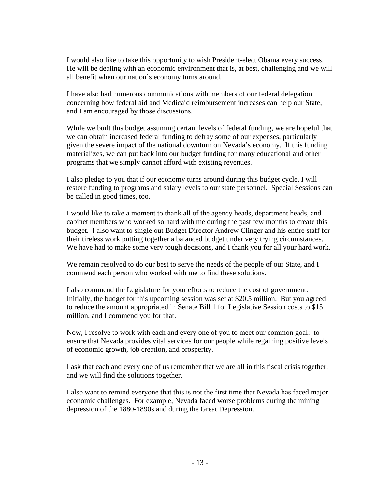I would also like to take this opportunity to wish President-elect Obama every success. He will be dealing with an economic environment that is, at best, challenging and we will all benefit when our nation's economy turns around.

I have also had numerous communications with members of our federal delegation concerning how federal aid and Medicaid reimbursement increases can help our State, and I am encouraged by those discussions.

While we built this budget assuming certain levels of federal funding, we are hopeful that we can obtain increased federal funding to defray some of our expenses, particularly given the severe impact of the national downturn on Nevada's economy. If this funding materializes, we can put back into our budget funding for many educational and other programs that we simply cannot afford with existing revenues.

I also pledge to you that if our economy turns around during this budget cycle, I will restore funding to programs and salary levels to our state personnel. Special Sessions can be called in good times, too.

I would like to take a moment to thank all of the agency heads, department heads, and cabinet members who worked so hard with me during the past few months to create this budget. I also want to single out Budget Director Andrew Clinger and his entire staff for their tireless work putting together a balanced budget under very trying circumstances. We have had to make some very tough decisions, and I thank you for all your hard work.

We remain resolved to do our best to serve the needs of the people of our State, and I commend each person who worked with me to find these solutions.

I also commend the Legislature for your efforts to reduce the cost of government. Initially, the budget for this upcoming session was set at \$20.5 million. But you agreed to reduce the amount appropriated in Senate Bill 1 for Legislative Session costs to \$15 million, and I commend you for that.

Now, I resolve to work with each and every one of you to meet our common goal: to ensure that Nevada provides vital services for our people while regaining positive levels of economic growth, job creation, and prosperity.

I ask that each and every one of us remember that we are all in this fiscal crisis together, and we will find the solutions together.

I also want to remind everyone that this is not the first time that Nevada has faced major economic challenges. For example, Nevada faced worse problems during the mining depression of the 1880-1890s and during the Great Depression.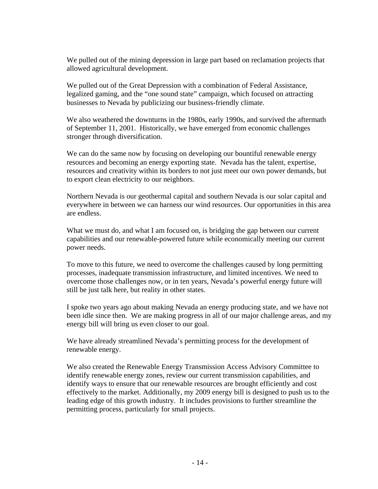We pulled out of the mining depression in large part based on reclamation projects that allowed agricultural development.

We pulled out of the Great Depression with a combination of Federal Assistance, legalized gaming, and the "one sound state" campaign, which focused on attracting businesses to Nevada by publicizing our business-friendly climate.

We also weathered the downturns in the 1980s, early 1990s, and survived the aftermath of September 11, 2001. Historically, we have emerged from economic challenges stronger through diversification.

We can do the same now by focusing on developing our bountiful renewable energy resources and becoming an energy exporting state. Nevada has the talent, expertise, resources and creativity within its borders to not just meet our own power demands, but to export clean electricity to our neighbors.

Northern Nevada is our geothermal capital and southern Nevada is our solar capital and everywhere in between we can harness our wind resources. Our opportunities in this area are endless.

What we must do, and what I am focused on, is bridging the gap between our current capabilities and our renewable-powered future while economically meeting our current power needs.

To move to this future, we need to overcome the challenges caused by long permitting processes, inadequate transmission infrastructure, and limited incentives. We need to overcome those challenges now, or in ten years, Nevada's powerful energy future will still be just talk here, but reality in other states.

I spoke two years ago about making Nevada an energy producing state, and we have not been idle since then. We are making progress in all of our major challenge areas, and my energy bill will bring us even closer to our goal.

We have already streamlined Nevada's permitting process for the development of renewable energy.

We also created the Renewable Energy Transmission Access Advisory Committee to identify renewable energy zones, review our current transmission capabilities, and identify ways to ensure that our renewable resources are brought efficiently and cost effectively to the market. Additionally, my 2009 energy bill is designed to push us to the leading edge of this growth industry. It includes provisions to further streamline the permitting process, particularly for small projects.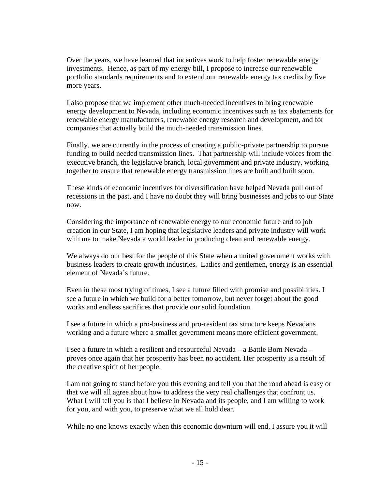Over the years, we have learned that incentives work to help foster renewable energy investments. Hence, as part of my energy bill, I propose to increase our renewable portfolio standards requirements and to extend our renewable energy tax credits by five more years.

I also propose that we implement other much-needed incentives to bring renewable energy development to Nevada, including economic incentives such as tax abatements for renewable energy manufacturers, renewable energy research and development, and for companies that actually build the much-needed transmission lines.

Finally, we are currently in the process of creating a public-private partnership to pursue funding to build needed transmission lines. That partnership will include voices from the executive branch, the legislative branch, local government and private industry, working together to ensure that renewable energy transmission lines are built and built soon.

These kinds of economic incentives for diversification have helped Nevada pull out of recessions in the past, and I have no doubt they will bring businesses and jobs to our State now.

Considering the importance of renewable energy to our economic future and to job creation in our State, I am hoping that legislative leaders and private industry will work with me to make Nevada a world leader in producing clean and renewable energy.

We always do our best for the people of this State when a united government works with business leaders to create growth industries. Ladies and gentlemen, energy is an essential element of Nevada's future.

Even in these most trying of times, I see a future filled with promise and possibilities. I see a future in which we build for a better tomorrow, but never forget about the good works and endless sacrifices that provide our solid foundation.

I see a future in which a pro-business and pro-resident tax structure keeps Nevadans working and a future where a smaller government means more efficient government.

I see a future in which a resilient and resourceful Nevada – a Battle Born Nevada – proves once again that her prosperity has been no accident. Her prosperity is a result of the creative spirit of her people.

I am not going to stand before you this evening and tell you that the road ahead is easy or that we will all agree about how to address the very real challenges that confront us. What I will tell you is that I believe in Nevada and its people, and I am willing to work for you, and with you, to preserve what we all hold dear.

While no one knows exactly when this economic downturn will end, I assure you it will